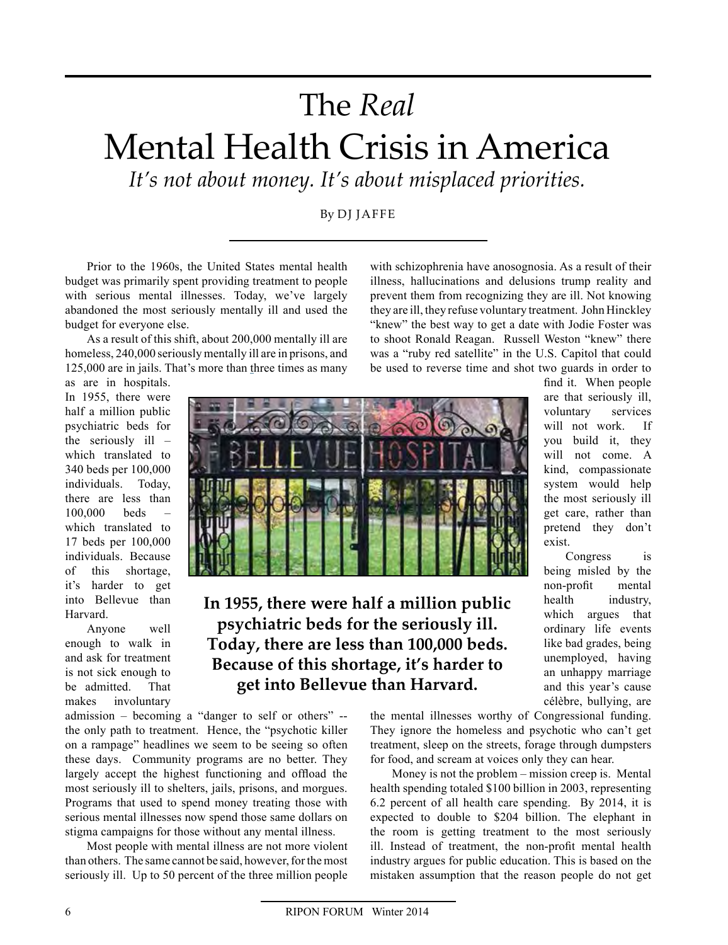## The\$*Real*

## Mental Health Crisis in America

It's not about money. It's about misplaced priorities.

By DJ JAFFE

Prior to the 1960s, the United States mental health budget was primarily spent providing treatment to people with serious mental illnesses. Today, we've largely abandoned the most seriously mentally ill and used the budget for everyone else.

As a result of this shift, about 200,000 mentally ill are homeless, 240,000 seriously mentally ill are in prisons, and 125,000 are in jails. That's more than three times as many as are in hospitals.

with schizophrenia have anosognosia. As a result of their illness, hallucinations and delusions trump reality and prevent them from recognizing they are ill. Not knowing they are ill, they refuse voluntary treatment. John Hinckley "knew" the best way to get a date with Jodie Foster was to shoot Ronald Reagan. Russell Weston "knew" there was a "ruby red satellite" in the U.S. Capitol that could be used to reverse time and shot two guards in order to

In 1955, there were half a million public psychiatric beds for the seriously ill  $$ which translated to 340 beds per 100,000 individuals. Today, there are less than  $100,000$  beds which translated to 17 beds per 100,000 individuals. Because of this shortage, it's harder to get into Bellevue than **Harvard** 

Anyone well enough to walk in and ask for treatment is not sick enough to be admitted. That makes involuntary



## In 1955, there were half a million public psychiatric beds for the seriously ill. Today, there are less than 100,000 beds. Because of this shortage, it's harder to get into Bellevue than Harvard.

admission – becoming a "danger to self or others"  $$ the only path to treatment. Hence, the "psychotic killer on a rampage" headlines we seem to be seeing so often these days. Community programs are no better. They largely accept the highest functioning and offload the most seriously ill to shelters, jails, prisons, and morgues. Programs that used to spend money treating those with serious mental illnesses now spend those same dollars on stigma campaigns for those without any mental illness.

Most people with mental illness are not more violent than others. The same cannot be said, however, for the most seriously ill. Up to 50 percent of the three million people

find it. When people are that seriously ill, voluntary services will not work. If you build it, they will not come. A kind, compassionate system would help the most seriously ill get care, rather than pretend they don't exist.

Congress is being misled by the non-profit mental health industry, which argues that ordinary life events like bad grades, being unemployed, having an unhappy marriage and this year's cause célèbre, bullying, are

the mental illnesses worthy of Congressional funding. They ignore the homeless and psychotic who can't get treatment, sleep on the streets, forage through dumpsters for food, and scream at voices only they can hear.

Money is not the problem – mission creep is. Mental health spending totaled \$100 billion in 2003, representing 6.2 percent of all health care spending. By 2014, it is expected to double to \$204 billion. The elephant in the room is getting treatment to the most seriously ill. Instead of treatment, the non-profit mental health industry argues for public education. This is based on the mistaken assumption that the reason people do not get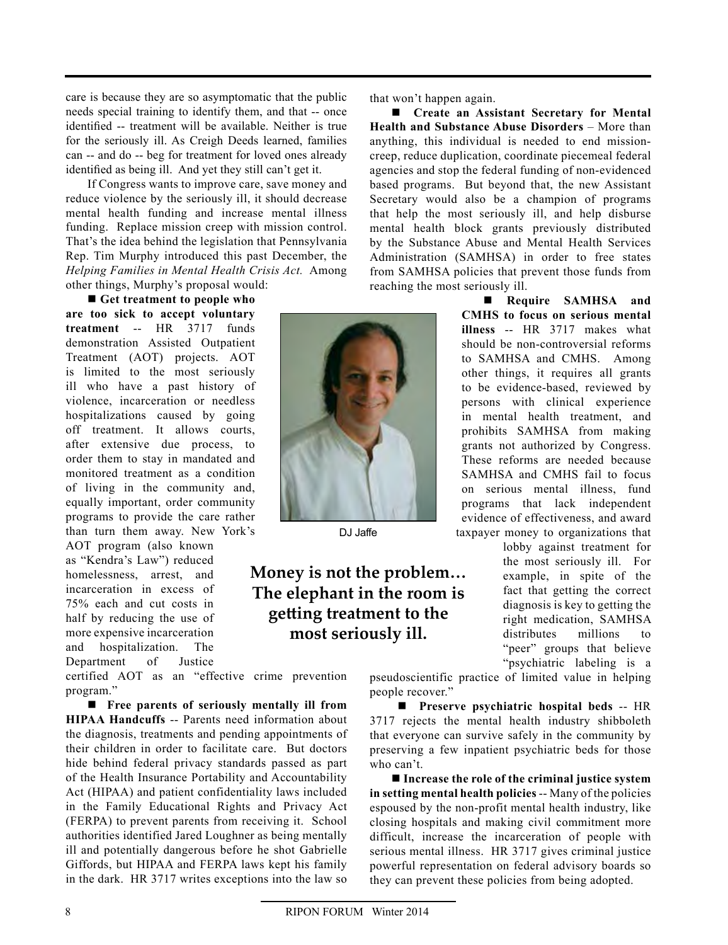care is because they are so asymptomatic that the public needs special training to identify them, and that -- once identified -- treatment will be available. Neither is true for the seriously ill. As Creigh Deeds learned, families can -- and do -- beg for treatment for loved ones already identified as being ill. And yet they still can't get it.

If Congress wants to improve care, save money and reduce violence by the seriously ill, it should decrease mental health funding and increase mental illness funding. Replace mission creep with mission control. That's the idea behind the legislation that Pennsylvania Rep. Tim Murphy introduced this past December, the *Helping Families in Mental Health Crisis Act.* Among other things, Murphy's proposal would:

**E** Get treatment to people who are too sick to accept voluntary **treatment** -- HR 3717 funds demonstration Assisted Outpatient Treatment (AOT) projects. AOT is limited to the most seriously ill who have a past history of violence, incarceration or needless hospitalizations caused by going off treatment. It allows courts, after extensive due process, to order them to stay in mandated and monitored treatment as a condition of living in the community and, equally important, order community programs to provide the care rather than turn them away. New York's

AOT program (also known as "Kendra's Law") reduced homelessness, arrest, and incarceration in excess of 75% each and cut costs in half by reducing the use of more expensive incarceration and hospitalization. The Department of Justice

certified AOT as an "effective crime prevention program."

 $\blacksquare$  Free parents of seriously mentally ill from **HIPAA Handcuffs** -- Parents need information about the diagnosis, treatments and pending appointments of their children in order to facilitate care. But doctors hide behind federal privacy standards passed as part of the Health Insurance Portability and Accountability Act (HIPAA) and patient confidentiality laws included in the Family Educational Rights and Privacy Act (FERPA) to prevent parents from receiving it. School authorities identified Jared Loughner as being mentally ill and potentially dangerous before he shot Gabrielle Giffords, but HIPAA and FERPA laws kept his family in the dark. HR  $3717$  writes exceptions into the law so

that won't happen again.

■ Create an Assistant Secretary for Mental **Health and Substance Abuse Disorders** – More than anything, this individual is needed to end missioncreep, reduce duplication, coordinate piecemeal federal agencies and stop the federal funding of non-evidenced based programs. But beyond that, the new Assistant Secretary would also be a champion of programs that help the most seriously ill, and help disburse mental health block grants previously distributed by the Substance Abuse and Mental Health Services Administration (SAMHSA) in order to free states from SAMHSA policies that prevent those funds from reaching the most seriously ill.

> **Require SAMHSA and CMHS** to focus on serious mental **illness** -- HR 3717 makes what should be non-controversial reforms to SAMHSA and CMHS. Among other things, it requires all grants to be evidence-based, reviewed by persons with clinical experience in mental health treatment, and prohibits SAMHSA from making grants not authorized by Congress. These reforms are needed because SAMHSA and CMHS fail to focus on serious mental illness, fund programs that lack independent evidence of effectiveness, and award taxpayer money to organizations that

lobby against treatment for the most seriously ill. For example, in spite of the fact that getting the correct diagnosis is key to getting the right medication, SAMHSA distributes millions to "peer" groups that believe "psychiatric labeling is a

pseudoscientific practice of limited value in helping people recover."

 $\blacksquare$  Preserve psychiatric hospital beds -- HR 3717 rejects the mental health industry shibboleth that everyone can survive safely in the community by preserving a few inpatient psychiatric beds for those who can't.

**Increase the role of the criminal justice system** in setting mental health policies -- Many of the policies espoused by the non-profit mental health industry, like closing hospitals and making civil commitment more difficult, increase the incarceration of people with serious mental illness. HR 3717 gives criminal justice powerful representation on federal advisory boards so they can prevent these policies from being adopted.



DJ Jaffe

## **Money is not the problem...** The elephant in the room is **getting treatment to the** most seriously ill.